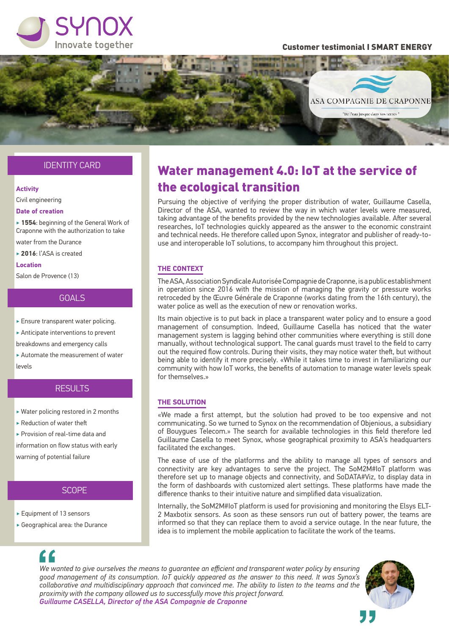

#### Customer testimonial I SMART ENERGY



### IDENTITY CARD

#### **Activity**

Civil engineering

#### **Date of creation**

‣ **1554**: beginning of the General Work of Craponne with the authorization to take

water from the Durance

‣ **2016**: l'ASA is created

#### **Location**

Salon de Provence (13)

#### GOALS

‣ Ensure transparent water policing.

‣ Anticipate interventions to prevent

breakdowns and emergency calls

‣ Automate the measurement of water levels

### RESULTS

- ‣ Water policing restored in 2 months
- ‣ Reduction of water theft

‣ Provision of real-time data and information on flow status with early

warning of potential failure

#### **SCOPE**

- ‣ Equipment of 13 sensors
- ‣ Geographical area: the Durance

## Water management 4.0: IoT at the service of the ecological transition

Pursuing the objective of verifying the proper distribution of water, Guillaume Casella, Director of the ASA, wanted to review the way in which water levels were measured, taking advantage of the benefits provided by the new technologies available. After several researches, IoT technologies quickly appeared as the answer to the economic constraint and technical needs. He therefore called upon Synox, integrator and publisher of ready-touse and interoperable IoT solutions, to accompany him throughout this project.

#### **THE CONTEXT**

The ASA, Association Syndicale Autorisée Compagnie de Craponne, is a public establishment in operation since 2016 with the mission of managing the gravity or pressure works retroceded by the Œuvre Générale de Craponne (works dating from the 16th century), the water police as well as the execution of new or renovation works.

Its main objective is to put back in place a transparent water policy and to ensure a good management of consumption. Indeed, Guillaume Casella has noticed that the water management system is lagging behind other communities where everything is still done manually, without technological support. The canal guards must travel to the field to carry out the required flow controls. During their visits, they may notice water theft, but without being able to identify it more precisely. «While it takes time to invest in familiarizing our community with how IoT works, the benefits of automation to manage water levels speak for themselves.»

#### **THE SOLUTION**

«We made a first attempt, but the solution had proved to be too expensive and not communicating. So we turned to Synox on the recommendation of Objenious, a subsidiary of Bouygues Telecom.» The search for available technologies in this field therefore led Guillaume Casella to meet Synox, whose geographical proximity to ASA's headquarters facilitated the exchanges.

The ease of use of the platforms and the ability to manage all types of sensors and connectivity are key advantages to serve the project. The SoM2M#IoT platform was therefore set up to manage objects and connectivity, and SoDATA#Viz, to display data in the form of dashboards with customized alert settings. These platforms have made the difference thanks to their intuitive nature and simplified data visualization.

Internally, the SoM2M#IoT platform is used for provisioning and monitoring the Elsys ELT-2 Maxbotix sensors. As soon as these sensors run out of battery power, the teams are informed so that they can replace them to avoid a service outage. In the near future, the idea is to implement the mobile application to facilitate the work of the teams.

*We wanted to give ourselves the means to guarantee an efficient and transparent water policy by ensuring good management of its consumption. IoT quickly appeared as the answer to this need. It was Synox's collaborative and multidisciplinary approach that convinced me. The ability to listen to the teams and the proximity with the company allowed us to successfully move this project forward. Guillaume CASELLA, Director of the ASA Compagnie de Craponne*